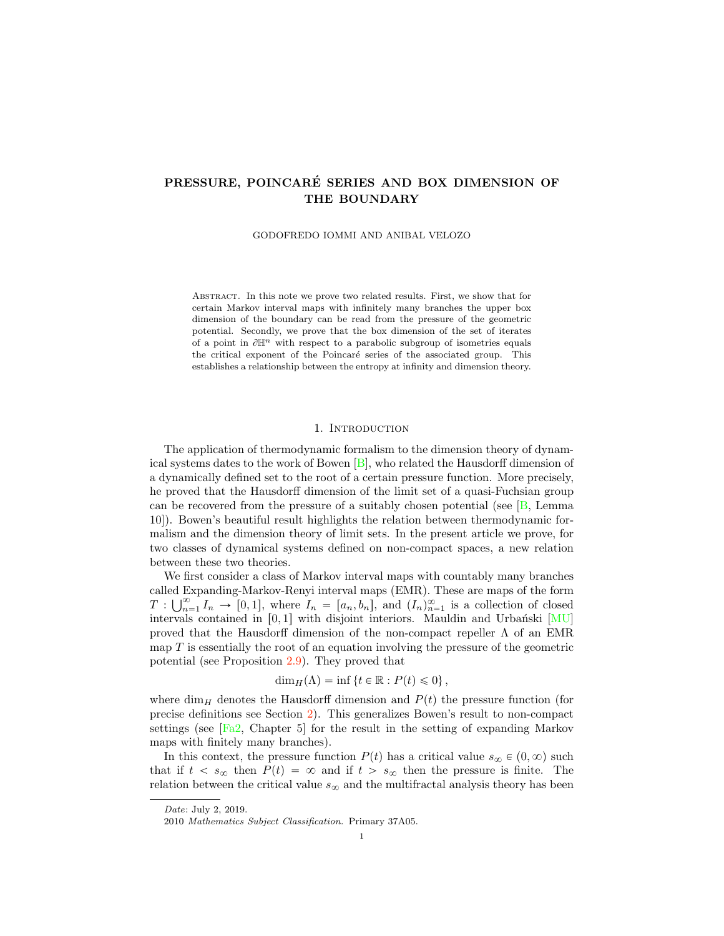# <span id="page-0-0"></span>PRESSURE, POINCARÉ SERIES AND BOX DIMENSION OF THE BOUNDARY

GODOFREDO IOMMI AND ANIBAL VELOZO

Abstract. In this note we prove two related results. First, we show that for certain Markov interval maps with infinitely many branches the upper box dimension of the boundary can be read from the pressure of the geometric potential. Secondly, we prove that the box dimension of the set of iterates of a point in  $\partial \mathbb{H}^n$  with respect to a parabolic subgroup of isometries equals the critical exponent of the Poincaré series of the associated group. This establishes a relationship between the entropy at infinity and dimension theory.

## 1. INTRODUCTION

The application of thermodynamic formalism to the dimension theory of dynamical systems dates to the work of Bowen [\[B\]](#page-15-1), who related the Hausdorff dimension of a dynamically defined set to the root of a certain pressure function. More precisely, he proved that the Hausdorff dimension of the limit set of a quasi-Fuchsian group can be recovered from the pressure of a suitably chosen potential (see  $[B, Lemma]$  $[B, Lemma]$ ) 10]). Bowen's beautiful result highlights the relation between thermodynamic formalism and the dimension theory of limit sets. In the present article we prove, for two classes of dynamical systems defined on non-compact spaces, a new relation between these two theories.

We first consider a class of Markov interval maps with countably many branches called Expanding-Markov-Renyi interval maps (EMR). These are maps of the form  $T: \bigcup_{n=1}^{\infty} I_n \to [0,1],$  where  $I_n = [a_n, b_n]$ , and  $(I_n)_{n=1}^{\infty}$  is a collection of closed intervals contained in  $[0, 1]$  with disjoint interiors. Mauldin and Urbański  $[MU]$ proved that the Hausdorff dimension of the non-compact repeller  $\Lambda$  of an EMR map  $T$  is essentially the root of an equation involving the pressure of the geometric potential (see Proposition [2.9\)](#page-5-0). They proved that

$$
\dim_H(\Lambda) = \inf \left\{ t \in \mathbb{R} : P(t) \leq 0 \right\},\
$$

where dim<sub>H</sub> denotes the Hausdorff dimension and  $P(t)$  the pressure function (for precise definitions see Section [2\)](#page-2-0). This generalizes Bowen's result to non-compact settings (see  $[Fa2, Chapter 5]$  $[Fa2, Chapter 5]$  for the result in the setting of expanding Markov maps with finitely many branches).

In this context, the pressure function  $P(t)$  has a critical value  $s_{\infty} \in (0, \infty)$  such that if  $t < s_{\infty}$  then  $P(t) = \infty$  and if  $t > s_{\infty}$  then the pressure is finite. The relation between the critical value  $s_{\infty}$  and the multifractal analysis theory has been

Date: July 2, 2019.

<sup>2010</sup> Mathematics Subject Classification. Primary 37A05.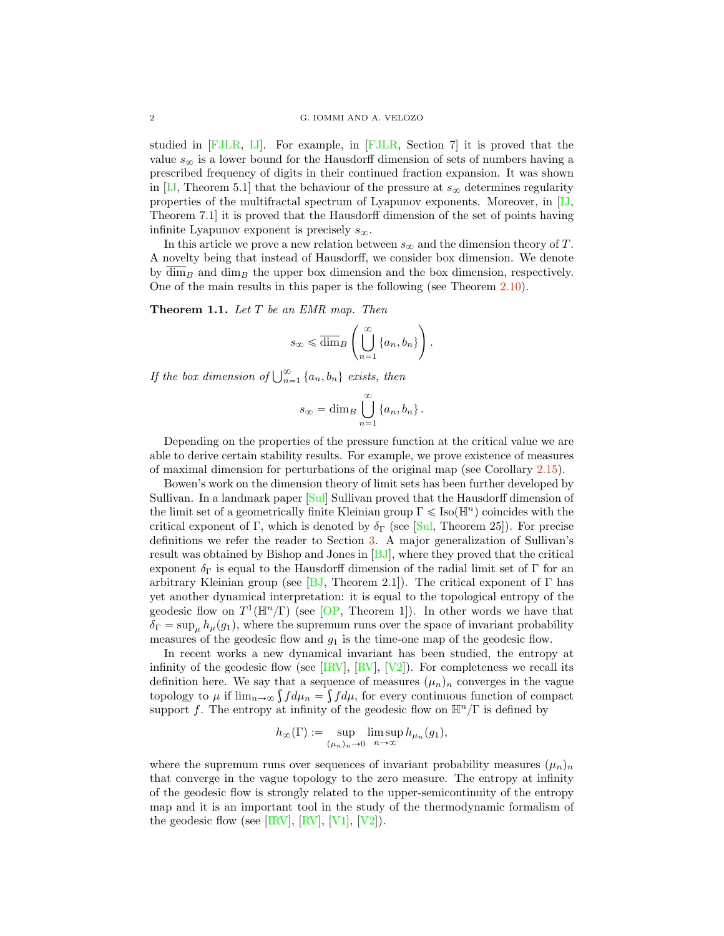<span id="page-1-0"></span>studied in [\[FJLR,](#page-15-3) [IJ\]](#page-15-4). For example, in [\[FJLR,](#page-15-3) Section 7] it is proved that the value  $s_{\infty}$  is a lower bound for the Hausdorff dimension of sets of numbers having a prescribed frequency of digits in their continued fraction expansion. It was shown in [\[IJ,](#page-15-4) Theorem 5.1] that the behaviour of the pressure at  $s_{\infty}$  determines regularity properties of the multifractal spectrum of Lyapunov exponents. Moreover, in [\[IJ,](#page-15-4) Theorem 7.1] it is proved that the Hausdorff dimension of the set of points having infinite Lyapunov exponent is precisely  $s_{\infty}$ .

In this article we prove a new relation between  $s_{\infty}$  and the dimension theory of T. A novelty being that instead of Hausdorff, we consider box dimension. We denote by  $\overline{\dim}_B$  and  $\dim_B$  the upper box dimension and the box dimension, respectively. One of the main results in this paper is the following (see Theorem [2.10\)](#page-5-1).

**Theorem 1.1.** Let  $T$  be an EMR map. Then

$$
s_{\infty} \leq \overline{\dim}_{B} \left( \bigcup_{n=1}^{\infty} \{a_n, b_n\} \right).
$$

If the box dimension of  $\bigcup_{n=1}^{\infty} \{a_n, b_n\}$  exists, then

$$
s_{\infty} = \dim_B \bigcup_{n=1}^{\infty} \{a_n, b_n\}.
$$

Depending on the properties of the pressure function at the critical value we are able to derive certain stability results. For example, we prove existence of measures of maximal dimension for perturbations of the original map (see Corollary [2.15\)](#page-7-0).

Bowen's work on the dimension theory of limit sets has been further developed by Sullivan. In a landmark paper [\[Sul\]](#page-16-1) Sullivan proved that the Hausdorff dimension of the limit set of a geometrically finite Kleinian group  $\Gamma \leq \text{Iso}(\mathbb{H}^n)$  coincides with the critical exponent of Γ, which is denoted by  $\delta_{\Gamma}$  (see [\[Sul,](#page-16-1) Theorem 25]). For precise definitions we refer the reader to Section [3.](#page-8-0) A major generalization of Sullivan's result was obtained by Bishop and Jones in [\[BJ\]](#page-15-5), where they proved that the critical exponent  $\delta_{\Gamma}$  is equal to the Hausdorff dimension of the radial limit set of  $\Gamma$  for an arbitrary Kleinian group (see [\[BJ,](#page-15-5) Theorem 2.1]). The critical exponent of  $\Gamma$  has yet another dynamical interpretation: it is equal to the topological entropy of the geodesic flow on  $T^1(\mathbb{H}^n/\Gamma)$  (see [\[OP,](#page-15-6) Theorem 1]). In other words we have that  $\delta_{\Gamma} = \sup_{\mu} h_{\mu}(g_1)$ , where the supremum runs over the space of invariant probability measures of the geodesic flow and  $g_1$  is the time-one map of the geodesic flow.

In recent works a new dynamical invariant has been studied, the entropy at infinity of the geodesic flow (see  $\text{[IRV]}, \text{[RV]}, \text{[V2]})$  $\text{[IRV]}, \text{[RV]}, \text{[V2]})$  $\text{[IRV]}, \text{[RV]}, \text{[V2]})$  $\text{[IRV]}, \text{[RV]}, \text{[V2]})$  $\text{[IRV]}, \text{[RV]}, \text{[V2]})$  $\text{[IRV]}, \text{[RV]}, \text{[V2]})$  $\text{[IRV]}, \text{[RV]}, \text{[V2]})$ . For completeness we recall its definition here. We say that a sequence of measures  $(\mu_n)_n$  converges in the vague topology to  $\mu$  if  $\lim_{n\to\infty} \int f d\mu_n = \int f d\mu$ , for every continuous function of compact support f. The entropy at infinity of the geodesic flow on  $\mathbb{H}^{n}/\Gamma$  is defined by

$$
h_{\infty}(\Gamma) := \sup_{(\mu_n)_n \to 0} \limsup_{n \to \infty} h_{\mu_n}(g_1),
$$

where the supremum runs over sequences of invariant probability measures  $(\mu_n)_n$ that converge in the vague topology to the zero measure. The entropy at infinity of the geodesic flow is strongly related to the upper-semicontinuity of the entropy map and it is an important tool in the study of the thermodynamic formalism of the geodesic flow (see [\[IRV\]](#page-15-7), [\[RV\]](#page-15-8), [\[V1\]](#page-16-2), [\[V2\]](#page-16-0)).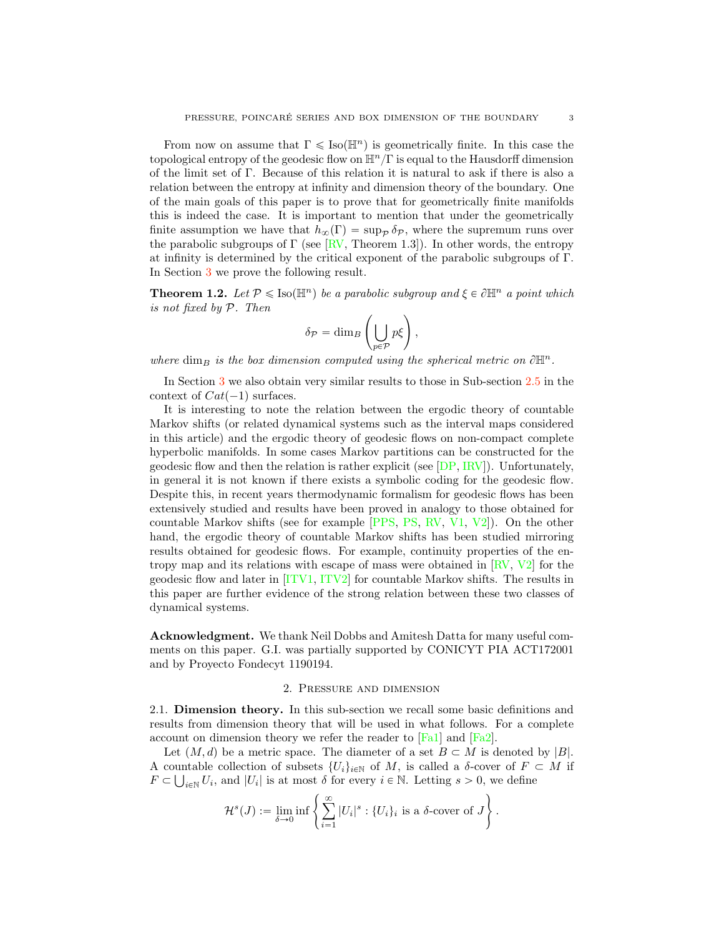<span id="page-2-1"></span>From now on assume that  $\Gamma \leqslant \text{Iso}(\mathbb{H}^n)$  is geometrically finite. In this case the topological entropy of the geodesic flow on  $\mathbb{H}^n/\Gamma$  is equal to the Hausdorff dimension of the limit set of Γ. Because of this relation it is natural to ask if there is also a relation between the entropy at infinity and dimension theory of the boundary. One of the main goals of this paper is to prove that for geometrically finite manifolds this is indeed the case. It is important to mention that under the geometrically finite assumption we have that  $h_{\infty}(\Gamma) = \sup_{\mathcal{P}} \delta_{\mathcal{P}}$ , where the supremum runs over the parabolic subgroups of  $\Gamma$  (see [\[RV,](#page-15-8) Theorem 1.3]). In other words, the entropy at infinity is determined by the critical exponent of the parabolic subgroups of Γ. In Section [3](#page-8-0) we prove the following result.

**Theorem 1.2.** Let  $P \leq \text{Iso}(\mathbb{H}^n)$  be a parabolic subgroup and  $\xi \in \partial \mathbb{H}^n$  a point which is not fixed by *P*. Then

$$
\delta_{\mathcal{P}} = \dim_B \left( \bigcup_{p \in \mathcal{P}} p \xi \right),\,
$$

where dim<sub>B</sub> is the box dimension computed using the spherical metric on  $\partial \mathbb{H}^n$ .

In Section [3](#page-8-0) we also obtain very similar results to those in Sub-section [2.5](#page-5-2) in the context of  $Cat(-1)$  surfaces.

It is interesting to note the relation between the ergodic theory of countable Markov shifts (or related dynamical systems such as the interval maps considered in this article) and the ergodic theory of geodesic flows on non-compact complete hyperbolic manifolds. In some cases Markov partitions can be constructed for the geodesic flow and then the relation is rather explicit (see  $[DP, IRV]$  $[DP, IRV]$  $[DP, IRV]$ ). Unfortunately, in general it is not known if there exists a symbolic coding for the geodesic flow. Despite this, in recent years thermodynamic formalism for geodesic flows has been extensively studied and results have been proved in analogy to those obtained for countable Markov shifts (see for example [\[PPS,](#page-15-10) [PS,](#page-15-11) [RV,](#page-15-8) [V1,](#page-16-2) [V2\]](#page-16-0)). On the other hand, the ergodic theory of countable Markov shifts has been studied mirroring results obtained for geodesic flows. For example, continuity properties of the entropy map and its relations with escape of mass were obtained in  $\left[\text{RV}, \text{ V2}\right]$  for the geodesic flow and later in [\[ITV1,](#page-15-12) [ITV2\]](#page-15-13) for countable Markov shifts. The results in this paper are further evidence of the strong relation between these two classes of dynamical systems.

Acknowledgment. We thank Neil Dobbs and Amitesh Datta for many useful comments on this paper. G.I. was partially supported by CONICYT PIA ACT172001 and by Proyecto Fondecyt 1190194.

## 2. Pressure and dimension

<span id="page-2-0"></span>2.1. Dimension theory. In this sub-section we recall some basic definitions and results from dimension theory that will be used in what follows. For a complete account on dimension theory we refer the reader to [\[Fa1\]](#page-15-14) and [\[Fa2\]](#page-15-0).

Let  $(M, d)$  be a metric space. The diameter of a set  $B \subset M$  is denoted by  $|B|$ . A countable collection of subsets  $\{U_i\}_{i\in\mathbb{N}}$  of M, is called a  $\delta$ -cover of  $F\subset M$  if  $F \subset \bigcup_{i \in \mathbb{N}} U_i$ , and  $|U_i|$  is at most  $\delta$  for every  $i \in \mathbb{N}$ . Letting  $s > 0$ , we define

$$
\mathcal{H}^s(J) := \lim_{\delta \to 0} \inf \left\{ \sum_{i=1}^{\infty} |U_i|^s : \{U_i\}_i \text{ is a } \delta \text{-cover of } J \right\}.
$$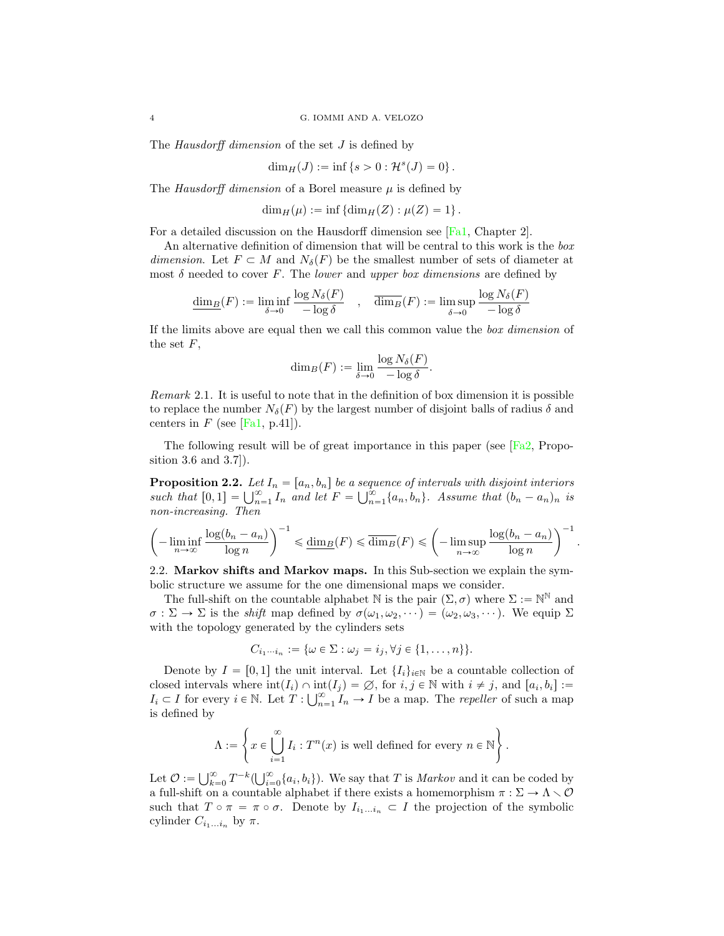<span id="page-3-0"></span>The *Hausdorff dimension* of the set J is defined by

$$
\dim_H(J) := \inf \{ s > 0 : \mathcal{H}^s(J) = 0 \}.
$$

The Hausdorff dimension of a Borel measure  $\mu$  is defined by

$$
\dim_H(\mu) := \inf \left\{ \dim_H(Z) : \mu(Z) = 1 \right\}.
$$

For a detailed discussion on the Hausdorff dimension see [\[Fa1,](#page-15-14) Chapter 2].

An alternative definition of dimension that will be central to this work is the box dimension. Let  $F \subset M$  and  $N_{\delta}(F)$  be the smallest number of sets of diameter at most  $\delta$  needed to cover F. The lower and upper box dimensions are defined by

$$
\underline{\dim_B}(F) := \liminf_{\delta \to 0} \frac{\log N_\delta(F)}{-\log \delta} \quad , \quad \overline{\dim_B}(F) := \limsup_{\delta \to 0} \frac{\log N_\delta(F)}{-\log \delta}
$$

If the limits above are equal then we call this common value the box dimension of the set  $F$ ,

$$
\dim_B(F) := \lim_{\delta \to 0} \frac{\log N_{\delta}(F)}{-\log \delta}.
$$

Remark 2.1. It is useful to note that in the definition of box dimension it is possible to replace the number  $N_{\delta}(F)$  by the largest number of disjoint balls of radius  $\delta$  and centers in  $F$  (see [\[Fa1,](#page-15-14) p.41]).

The following result will be of great importance in this paper (see [\[Fa2,](#page-15-0) Proposition 3.6 and 3.7]).

**Proposition 2.2.** Let  $I_n = [a_n, b_n]$  be a sequence of intervals with disjoint interiors such that  $[0, 1] = \bigcup_{n=1}^{\infty} I_n$  and let  $F = \bigcup_{n=1}^{\infty} \{a_n, b_n\}$ . Assume that  $(b_n - a_n)_n$  is non-increasing. Then

$$
\left(-\liminf_{n\to\infty}\frac{\log(b_n-a_n)}{\log n}\right)^{-1}\leq \underline{\dim}_B(F)\leqslant \overline{\dim}_B(F)\leqslant \left(-\limsup_{n\to\infty}\frac{\log(b_n-a_n)}{\log n}\right)^{-1}
$$

.

2.2. Markov shifts and Markov maps. In this Sub-section we explain the symbolic structure we assume for the one dimensional maps we consider.

The full-shift on the countable alphabet N is the pair  $(\Sigma, \sigma)$  where  $\Sigma := \mathbb{N}^{\mathbb{N}}$  and  $\sigma : \Sigma \to \Sigma$  is the *shift* map defined by  $\sigma(\omega_1, \omega_2, \dots) = (\omega_2, \omega_3, \dots)$ . We equip  $\Sigma$ with the topology generated by the cylinders sets

$$
C_{i_1\cdots i_n} := \{\omega \in \Sigma : \omega_j = i_j, \forall j \in \{1, \ldots, n\}\}.
$$

Denote by  $I = [0, 1]$  the unit interval. Let  $\{I_i\}_{i \in \mathbb{N}}$  be a countable collection of closed intervals where  $\text{int}(I_i) \cap \text{int}(I_j) = \emptyset$ , for  $i, j \in \mathbb{N}$  with  $i \neq j$ , and  $[a_i, b_i] :=$  $I_i \subset I$  for every  $i \in \mathbb{N}$ . Let  $T: \bigcup_{n=1}^{\infty} I_n \to I$  be a map. The *repeller* of such a map is defined by

$$
\Lambda := \left\{ x \in \bigcup_{i=1}^{\infty} I_i : T^n(x) \text{ is well defined for every } n \in \mathbb{N} \right\}.
$$

Let  $\mathcal{O} := \bigcup_{k=0}^{\infty} T^{-k} (\bigcup_{i=0}^{\infty} \{a_i, b_i\})$ . We say that T is *Markov* and it can be coded by a full-shift on a countable alphabet if there exists a homemorphism  $\pi : \Sigma \to \Lambda \smallsetminus \mathcal{O}$ such that  $T \circ \pi = \pi \circ \sigma$ . Denote by  $I_{i_1...i_n} \subset I$  the projection of the symbolic cylinder  $C_{i_1...i_n}$  by  $\pi$ .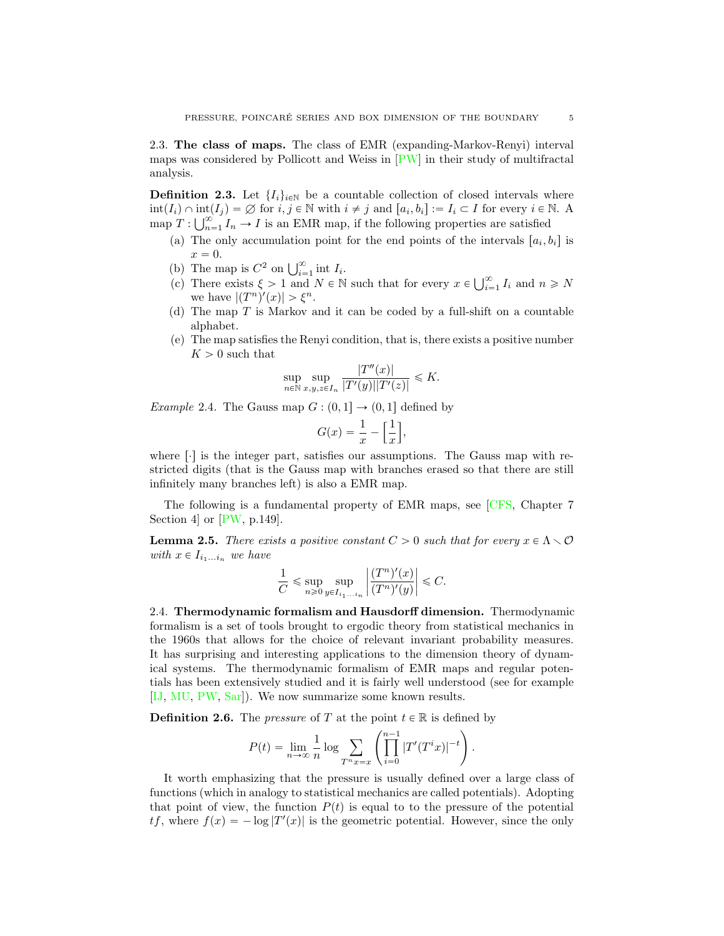<span id="page-4-2"></span>2.3. The class of maps. The class of EMR (expanding-Markov-Renyi) interval maps was considered by Pollicott and Weiss in [\[PW\]](#page-15-15) in their study of multifractal analysis.

**Definition 2.3.** Let  $\{I_i\}_{i\in\mathbb{N}}$  be a countable collection of closed intervals where  $\text{int}(I_i) \cap \text{int}(I_j) = \emptyset$  for  $i, j \in \mathbb{N}$  with  $i \neq j$  and  $[a_i, b_i] := I_i \subset I$  for every  $i \in \mathbb{N}$ . A map  $T: \bigcup_{n=1}^{\infty} I_n \to I$  is an EMR map, if the following properties are satisfied

- (a) The only accumulation point for the end points of the intervals  $[a_i, b_i]$  is  $x = 0.$
- (b) The map is  $C^2$  on  $\bigcup_{i=1}^{\infty}$  int  $I_i$ .
- (c) There exists  $\xi > 1$  and  $N \in \mathbb{N}$  such that for every  $x \in \bigcup_{i=1}^{\infty} I_i$  and  $n \geq N$ we have  $|(T^n)'(x)| > \xi^n$ .
- (d) The map  $T$  is Markov and it can be coded by a full-shift on a countable alphabet.
- (e) The map satisfies the Renyi condition, that is, there exists a positive number  $K > 0$  such that

$$
\sup_{n \in \mathbb{N}} \sup_{x,y,z \in I_n} \frac{|T''(x)|}{|T'(y)||T'(z)|} \leq K.
$$

<span id="page-4-1"></span>Example 2.4. The Gauss map  $G : (0, 1] \rightarrow (0, 1]$  defined by

$$
G(x) = \frac{1}{x} - \left[\frac{1}{x}\right],
$$

where  $\lceil \cdot \rceil$  is the integer part, satisfies our assumptions. The Gauss map with restricted digits (that is the Gauss map with branches erased so that there are still infinitely many branches left) is also a EMR map.

The following is a fundamental property of EMR maps, see [\[CFS,](#page-15-16) Chapter 7 Section 4 or  $[PW, p.149]$  $[PW, p.149]$ .

<span id="page-4-0"></span>**Lemma 2.5.** There exists a positive constant  $C > 0$  such that for every  $x \in \Lambda \setminus \mathcal{O}$ with  $x \in I_{i_1...i_n}$  we have

$$
\frac{1}{C}\leqslant \sup_{n\geqslant 0}\sup_{y\in I_{i_1...i_n}}\left|\frac{(T^n)'(x)}{(T^n)'(y)}\right|\leqslant C.
$$

2.4. Thermodynamic formalism and Hausdorff dimension. Thermodynamic formalism is a set of tools brought to ergodic theory from statistical mechanics in the 1960s that allows for the choice of relevant invariant probability measures. It has surprising and interesting applications to the dimension theory of dynamical systems. The thermodynamic formalism of EMR maps and regular potentials has been extensively studied and it is fairly well understood (see for example [\[IJ,](#page-15-4) [MU,](#page-15-2) [PW,](#page-15-15) [Sar\]](#page-16-3)). We now summarize some known results.

**Definition 2.6.** The *pressure* of T at the point  $t \in \mathbb{R}$  is defined by

$$
P(t) = \lim_{n \to \infty} \frac{1}{n} \log \sum_{T^n x = x} \left( \prod_{i=0}^{n-1} |T'(T^i x)|^{-t} \right).
$$

It worth emphasizing that the pressure is usually defined over a large class of functions (which in analogy to statistical mechanics are called potentials). Adopting that point of view, the function  $P(t)$  is equal to to the pressure of the potential  $tf$ , where  $f(x) = -\log |T'(x)|$  is the geometric potential. However, since the only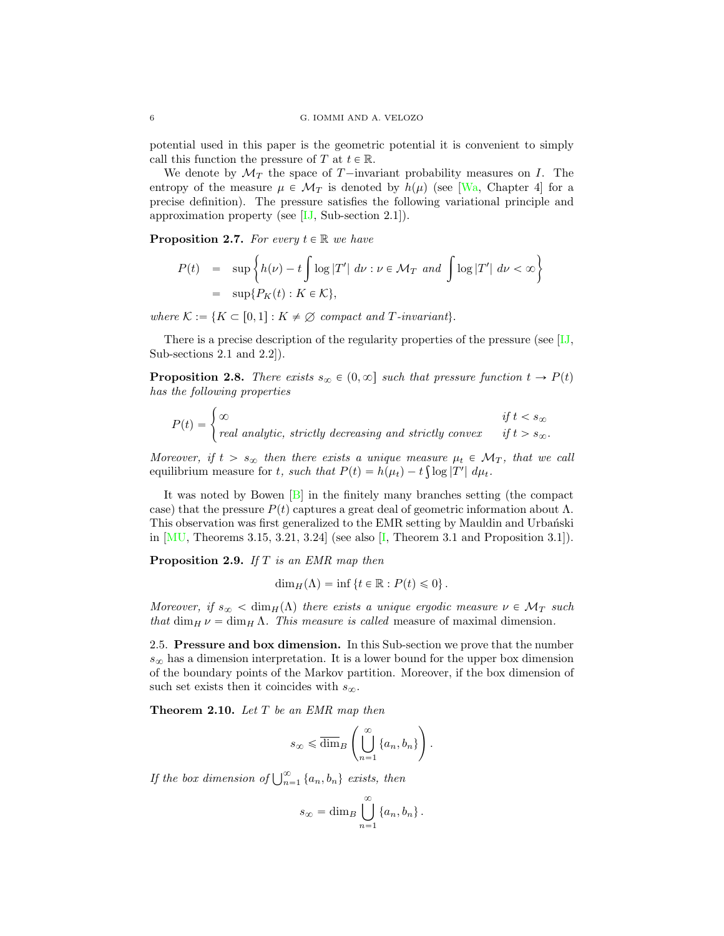potential used in this paper is the geometric potential it is convenient to simply call this function the pressure of T at  $t \in \mathbb{R}$ .

We denote by  $\mathcal{M}_T$  the space of T-invariant probability measures on I. The entropy of the measure  $\mu \in \mathcal{M}_T$  is denoted by  $h(\mu)$  (see [\[Wa,](#page-16-4) Chapter 4] for a precise definition). The pressure satisfies the following variational principle and approximation property (see  $[IJ, Sub-section 2.1]$  $[IJ, Sub-section 2.1]$ ).

**Proposition 2.7.** For every  $t \in \mathbb{R}$  we have

$$
P(t) = \sup \left\{ h(\nu) - t \int \log |T'| \ d\nu : \nu \in \mathcal{M}_T \ and \ \int \log |T'| \ d\nu < \infty \right\}
$$
\n
$$
= \sup \{ P_K(t) : K \in \mathcal{K} \},
$$

where  $K := \{K \subset [0, 1]: K \neq \emptyset \text{ compact and } T\text{-invariant}\}.$ 

There is a precise description of the regularity properties of the pressure (see [\[IJ,](#page-15-4) Sub-sections 2.1 and 2.2]).

<span id="page-5-3"></span>**Proposition 2.8.** There exists  $s_{\infty} \in (0, \infty]$  such that pressure function  $t \to P(t)$ has the following properties

$$
P(t) = \begin{cases} \infty & \text{if } t < s_{\infty} \\ real \text{ analytic, strictly decreasing and strictly convex} & \text{if } t > s_{\infty}. \end{cases}
$$

Moreover, if  $t > s_\infty$  then there exists a unique measure  $\mu_t \in \mathcal{M}_T$ , that we call equilibrium measure for t, such that  $P(t) = h(\mu_t) - t \int \log |T'| d\mu_t$ .

It was noted by Bowen  $[B]$  in the finitely many branches setting (the compact case) that the pressure  $P(t)$  captures a great deal of geometric information about  $\Lambda$ . This observation was first generalized to the EMR setting by Mauldin and Urbanski in  $[MU,$  Theorems 3.15, 3.21, 3.24 (see also  $[I,$  Theorem 3.1 and Proposition 3.1]).

<span id="page-5-0"></span>Proposition 2.9. If T is an EMR map then

$$
\dim_H(\Lambda) = \inf \left\{ t \in \mathbb{R} : P(t) \leq 0 \right\}.
$$

Moreover, if  $s_{\infty} < \dim_{H}(\Lambda)$  there exists a unique ergodic measure  $\nu \in \mathcal{M}_T$  such that  $\dim_H \nu = \dim_H \Lambda$ . This measure is called measure of maximal dimension.

<span id="page-5-2"></span>2.5. Pressure and box dimension. In this Sub-section we prove that the number  $s_{\infty}$  has a dimension interpretation. It is a lower bound for the upper box dimension of the boundary points of the Markov partition. Moreover, if the box dimension of such set exists then it coincides with  $s_{\infty}$ .

<span id="page-5-1"></span>Theorem 2.10. Let T be an EMR map then

$$
s_{\infty} \leq \overline{\dim}_B \left( \bigcup_{n=1}^{\infty} \{a_n, b_n\} \right).
$$

If the box dimension of  $\bigcup_{n=1}^{\infty} \{a_n, b_n\}$  exists, then

$$
s_{\infty} = \dim_B \bigcup_{n=1}^{\infty} \{a_n, b_n\}.
$$

<span id="page-5-4"></span>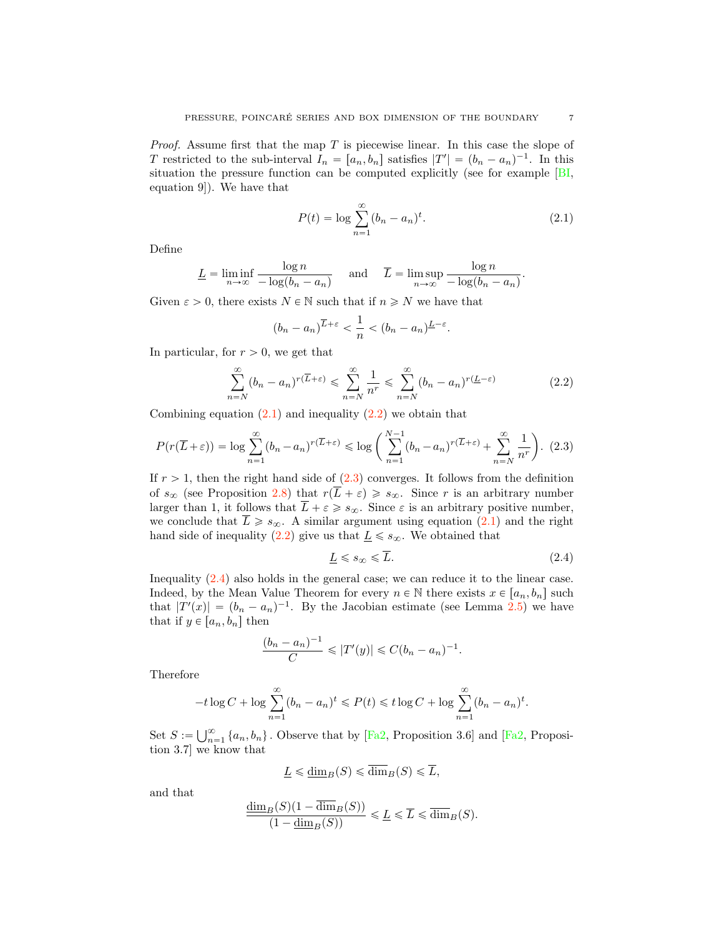<span id="page-6-4"></span>*Proof.* Assume first that the map  $T$  is piecewise linear. In this case the slope of T restricted to the sub-interval  $I_n = [a_n, b_n]$  satisfies  $|T'| = (b_n - a_n)^{-1}$ . In this situation the pressure function can be computed explicitly (see for example [\[BI,](#page-15-18) equation 9]). We have that

<span id="page-6-0"></span>
$$
P(t) = \log \sum_{n=1}^{\infty} (b_n - a_n)^t.
$$
 (2.1)

Define

$$
\underline{L} = \liminf_{n \to \infty} \frac{\log n}{-\log(b_n - a_n)} \quad \text{and} \quad \overline{L} = \limsup_{n \to \infty} \frac{\log n}{-\log(b_n - a_n)}.
$$

Given  $\varepsilon > 0$ , there exists  $N \in \mathbb{N}$  such that if  $n \geq N$  we have that

<span id="page-6-1"></span>
$$
(b_n - a_n)^{\overline{L} + \varepsilon} < \frac{1}{n} < (b_n - a_n)^{\underline{L} - \varepsilon}.
$$

In particular, for  $r > 0$ , we get that

$$
\sum_{n=N}^{\infty} (b_n - a_n)^{r(\overline{L} + \varepsilon)} \leq \sum_{n=N}^{\infty} \frac{1}{n^r} \leq \sum_{n=N}^{\infty} (b_n - a_n)^{r(\underline{L} - \varepsilon)}
$$
(2.2)

Combining equation  $(2.1)$  and inequality  $(2.2)$  we obtain that

<span id="page-6-2"></span>
$$
P(r(\overline{L}+\varepsilon)) = \log \sum_{n=1}^{\infty} (b_n - a_n)^{r(\overline{L}+\varepsilon)} \le \log \left( \sum_{n=1}^{N-1} (b_n - a_n)^{r(\overline{L}+\varepsilon)} + \sum_{n=N}^{\infty} \frac{1}{n^r} \right). (2.3)
$$

If  $r > 1$ , then the right hand side of  $(2.3)$  converges. It follows from the definition of  $s_{\infty}$  (see Proposition [2.8\)](#page-5-3) that  $r(\overline{L} + \varepsilon) \geq s_{\infty}$ . Since r is an arbitrary number larger than 1, it follows that  $\overline{L} + \varepsilon \geq s_{\infty}$ . Since  $\varepsilon$  is an arbitrary positive number, we conclude that  $\overline{L} \geq s_{\infty}$ . A similar argument using equation  $(2.1)$  and the right hand side of inequality [\(2.2\)](#page-6-1) give us that  $\underline{L} \leq s_{\infty}$ . We obtained that

<span id="page-6-3"></span>
$$
\underline{L} \leqslant s_{\infty} \leqslant \overline{L}.\tag{2.4}
$$

Inequality [\(2.4\)](#page-6-3) also holds in the general case; we can reduce it to the linear case. Indeed, by the Mean Value Theorem for every  $n \in \mathbb{N}$  there exists  $x \in [a_n, b_n]$  such that  $|T'(x)| = (b_n - a_n)^{-1}$ . By the Jacobian estimate (see Lemma [2.5\)](#page-4-0) we have that if  $y \in [a_n, b_n]$  then

$$
\frac{(b_n - a_n)^{-1}}{C} \le |T'(y)| \le C(b_n - a_n)^{-1}.
$$

Therefore

$$
-t\log C + \log \sum_{n=1}^{\infty} (b_n - a_n)^t \leq P(t) \leq t \log C + \log \sum_{n=1}^{\infty} (b_n - a_n)^t.
$$

Set  $S := \bigcup_{n=1}^{\infty} \{a_n, b_n\}$ . Observe that by [\[Fa2,](#page-15-0) Proposition 3.6] and [Fa2, Proposition 3.7] tion 3.7] we know that

$$
\underline{L} \leq \underline{\dim}_B(S) \leq \overline{\dim}_B(S) \leq \overline{L},
$$

and that

$$
\frac{\dim_B(S)(1-\dim_B(S))}{(1-\dim_B(S))} \leq \underline{L} \leq \overline{L} \leq \overline{\dim}_B(S).
$$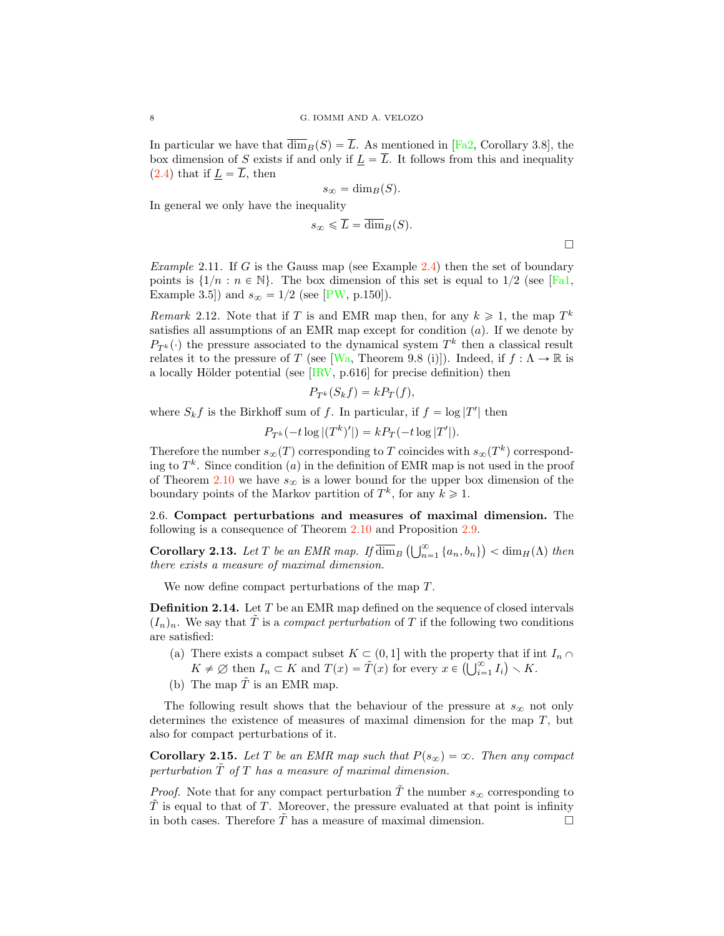<span id="page-7-1"></span>In particular we have that  $\overline{\dim}_B(S) = \overline{L}$ . As mentioned in [\[Fa2,](#page-15-0) Corollary 3.8], the box dimension of S exists if and only if  $\underline{L} = \overline{L}$ . It follows from this and inequality  $(2.4)$  that if  $\underline{L} = \overline{L}$ , then

$$
s_{\infty} = \dim_B(S).
$$

In general we only have the inequality

$$
s_{\infty} \leq \overline{L} = \overline{\dim}_B(S).
$$

 $\Box$ 

Example 2.11. If G is the Gauss map (see Example [2.4\)](#page-4-1) then the set of boundary points is  $\{1/n : n \in \mathbb{N}\}\$ . The box dimension of this set is equal to  $1/2$  (see [\[Fa1,](#page-15-14) Example 3.5]) and  $s_{\infty} = 1/2$  (see [\[PW,](#page-15-15) p.150]).

Remark 2.12. Note that if T is and EMR map then, for any  $k \geq 1$ , the map  $T^k$ satisfies all assumptions of an EMR map except for condition  $(a)$ . If we denote by  $P_{T^k}(\cdot)$  the pressure associated to the dynamical system  $T^k$  then a classical result relates it to the pressure of T (see [\[Wa,](#page-16-4) Theorem 9.8 (i)]). Indeed, if  $f : \Lambda \to \mathbb{R}$  is a locally Hölder potential (see  $[IRV, p.616]$  $[IRV, p.616]$  for precise definition) then

$$
P_{T^k}(S_k f) = k P_T(f),
$$

where  $S_k f$  is the Birkhoff sum of f. In particular, if  $f = \log |T'|$  then

$$
P_{T^k}(-t \log |(T^k)'|) = k P_T(-t \log |T'|).
$$

Therefore the number  $s_{\infty}(T)$  corresponding to T coincides with  $s_{\infty}(T^k)$  corresponding to  $T^k$ . Since condition (a) in the definition of EMR map is not used in the proof of Theorem [2.10](#page-5-1) we have  $s_{\infty}$  is a lower bound for the upper box dimension of the boundary points of the Markov partition of  $T^k$ , for any  $k \geq 1$ .

2.6. Compact perturbations and measures of maximal dimension. The following is a consequence of Theorem [2.10](#page-5-1) and Proposition [2.9.](#page-5-0)

**Corollary 2.13.** Let T be an EMR map. If  $\overline{\dim}_B \left( \bigcup_{n=1}^{\infty} \{a_n, b_n\} \right) < \dim_H(\Lambda)$  then there exists a measure of maximal dimension.

We now define compact perturbations of the map T.

**Definition 2.14.** Let  $T$  be an EMR map defined on the sequence of closed intervals  $(I_n)_n$ . We say that T is a *compact perturbation* of T if the following two conditions are satisfied:

- (a) There exists a compact subset  $K \subset (0, 1]$  with the property that if int  $I_n \cap$  $K \neq \emptyset$  then  $I_n \subset K$  and  $T(x) = \tilde{T}(x)$  for every  $x \in \left(\bigcup_{i=1}^{\infty} I_i\right) \setminus K$ .
- (b) The map  $\tilde{T}$  is an EMR map.

The following result shows that the behaviour of the pressure at  $s_{\infty}$  not only determines the existence of measures of maximal dimension for the map  $T$ , but also for compact perturbations of it.

<span id="page-7-0"></span>**Corollary 2.15.** Let T be an EMR map such that  $P(s_{\infty}) = \infty$ . Then any compact perturbation  $T$  of  $T$  has a measure of maximal dimension.

*Proof.* Note that for any compact perturbation  $\tilde{T}$  the number  $s_{\infty}$  corresponding to  $\tilde{T}$  is equal to that of T. Moreover, the pressure evaluated at that point is infinity in both cases. Therefore  $\overline{T}$  has a measure of maximal dimension.  $\Box$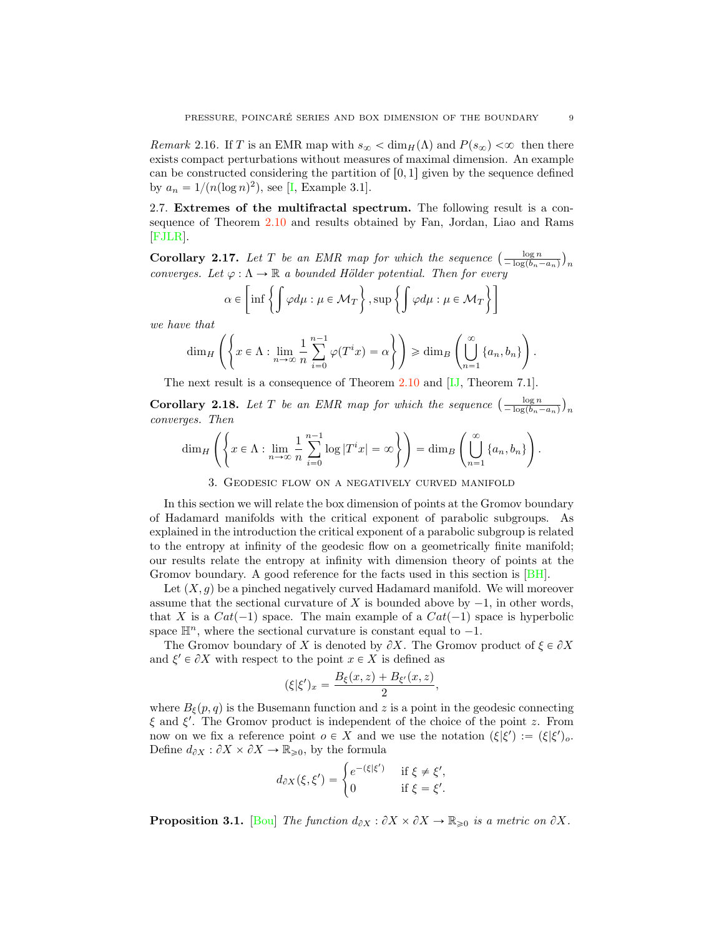<span id="page-8-1"></span>Remark 2.16. If T is an EMR map with  $s_{\infty} < \dim_{H}(\Lambda)$  and  $P(s_{\infty}) < \infty$  then there exists compact perturbations without measures of maximal dimension. An example can be constructed considering the partition of  $[0, 1]$  given by the sequence defined by  $a_n = 1/(n(\log n)^2)$ , see [\[I,](#page-15-17) Example 3.1].

2.7. Extremes of the multifractal spectrum. The following result is a consequence of Theorem [2.10](#page-5-1) and results obtained by Fan, Jordan, Liao and Rams [\[FJLR\]](#page-15-3).

**Corollary 2.17.** Let T be an EMR map for which the sequence  $\left(\frac{\log n}{-\log(b_n-a_n)}\right)_n$ converges. Let  $\varphi : \Lambda \to \mathbb{R}$  a bounded Hölder potential. Then for every

$$
\alpha \in \left[ \inf \left\{ \int \varphi d\mu : \mu \in \mathcal{M}_T \right\}, \sup \left\{ \int \varphi d\mu : \mu \in \mathcal{M}_T \right\} \right]
$$

we have that

$$
\dim_H\left(\left\{x\in\Lambda:\lim_{n\to\infty}\frac{1}{n}\sum_{i=0}^{n-1}\varphi(T^ix)=\alpha\right\}\right)\geq\dim_B\left(\bigcup_{n=1}^{\infty}\left\{a_n,b_n\right\}\right).
$$

The next result is a consequence of Theorem [2.10](#page-5-1) and [\[IJ,](#page-15-4) Theorem 7.1].

**Corollary 2.18.** Let T be an EMR map for which the sequence  $\left(\frac{\log n}{-\log(b_n-a_n)}\right)_n$ converges. Then

$$
\dim_H\left(\left\{x\in\Lambda:\lim_{n\to\infty}\frac{1}{n}\sum_{i=0}^{n-1}\log|T^ix|=\infty\right\}\right)=\dim_B\left(\bigcup_{n=1}^{\infty}\left\{a_n,b_n\right\}\right).
$$

#### 3. Geodesic flow on a negatively curved manifold

<span id="page-8-0"></span>In this section we will relate the box dimension of points at the Gromov boundary of Hadamard manifolds with the critical exponent of parabolic subgroups. As explained in the introduction the critical exponent of a parabolic subgroup is related to the entropy at infinity of the geodesic flow on a geometrically finite manifold; our results relate the entropy at infinity with dimension theory of points at the Gromov boundary. A good reference for the facts used in this section is [\[BH\]](#page-15-20).

Let  $(X, g)$  be a pinched negatively curved Hadamard manifold. We will moreover assume that the sectional curvature of X is bounded above by  $-1$ , in other words, that X is a  $Cat(-1)$  space. The main example of a  $Cat(-1)$  space is hyperbolic space  $\mathbb{H}^n$ , where the sectional curvature is constant equal to  $-1$ .

The Gromov boundary of X is denoted by  $\partial X$ . The Gromov product of  $\xi \in \partial X$ and  $\xi' \in \partial X$  with respect to the point  $x \in X$  is defined as

$$
(\xi|\xi')_x = \frac{B_{\xi}(x,z) + B_{\xi'}(x,z)}{2},
$$

where  $B_{\xi}(p,q)$  is the Busemann function and z is a point in the geodesic connecting  $\xi$  and  $\xi'$ . The Gromov product is independent of the choice of the point z. From now on we fix a reference point  $o \in X$  and we use the notation  $(\xi|\xi') := (\xi|\xi')_o$ . Define  $d_{\partial X} : \partial X \times \partial X \to \mathbb{R}_{\geqslant 0}$ , by the formula

$$
d_{\partial X}(\xi, \xi') = \begin{cases} e^{-(\xi|\xi')} & \text{if } \xi \neq \xi', \\ 0 & \text{if } \xi = \xi'. \end{cases}
$$

**Proposition 3.1.** [\[Bou\]](#page-15-19) The function  $d_{\partial X} : \partial X \times \partial X \to \mathbb{R}_{\geq 0}$  is a metric on  $\partial X$ .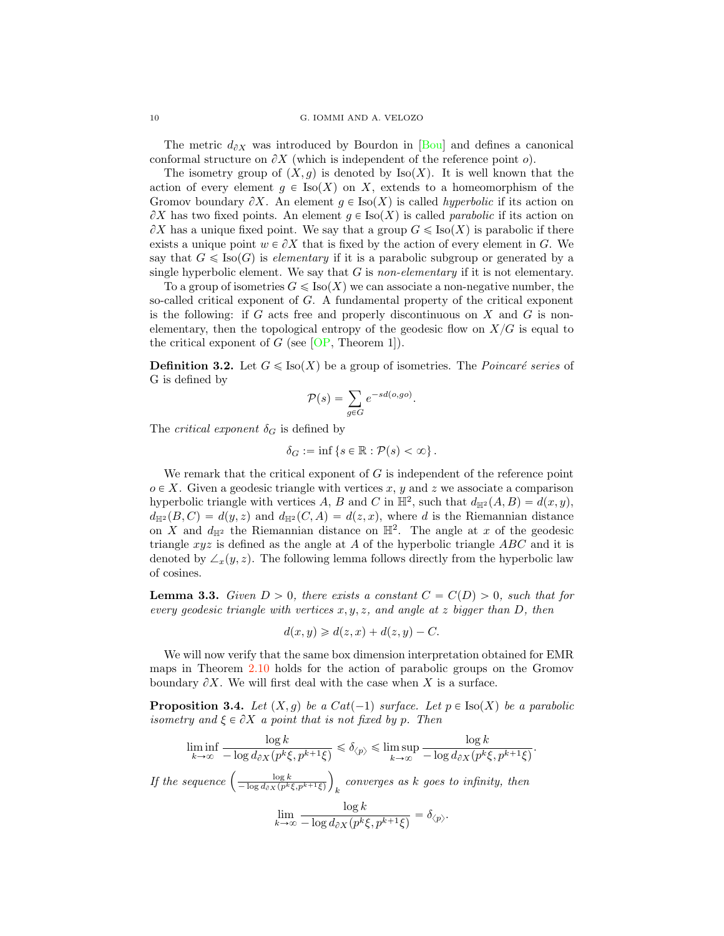<span id="page-9-2"></span>The metric  $d_{\partial X}$  was introduced by Bourdon in [\[Bou\]](#page-15-19) and defines a canonical conformal structure on  $\partial X$  (which is independent of the reference point  $o$ ).

The isometry group of  $(X, g)$  is denoted by Iso $(X)$ . It is well known that the action of every element  $g \in Iso(X)$  on X, extends to a homeomorphism of the Gromov boundary  $\partial X$ . An element  $g \in \text{Iso}(X)$  is called *hyperbolic* if its action on  $\partial X$  has two fixed points. An element  $g \in \text{Iso}(X)$  is called parabolic if its action on  $\partial X$  has a unique fixed point. We say that a group  $G \leqslant \text{Iso}(X)$  is parabolic if there exists a unique point  $w \in \partial X$  that is fixed by the action of every element in G. We say that  $G \leq \text{Iso}(G)$  is *elementary* if it is a parabolic subgroup or generated by a single hyperbolic element. We say that  $G$  is non-elementary if it is not elementary.

To a group of isometries  $G \leq \text{Iso}(X)$  we can associate a non-negative number, the so-called critical exponent of G. A fundamental property of the critical exponent is the following: if G acts free and properly discontinuous on X and G is nonelementary, then the topological entropy of the geodesic flow on  $X/G$  is equal to the critical exponent of  $G$  (see [\[OP,](#page-15-6) Theorem 1]).

**Definition 3.2.** Let  $G \leq \text{Iso}(X)$  be a group of isometries. The *Poincaré series* of G is defined by

$$
\mathcal{P}(s) = \sum_{g \in G} e^{-sd(o, go)}.
$$

The *critical exponent*  $\delta_G$  is defined by

$$
\delta_G := \inf \left\{ s \in \mathbb{R} : \mathcal{P}(s) < \infty \right\}.
$$

We remark that the critical exponent of  $G$  is independent of the reference point  $o \in X$ . Given a geodesic triangle with vertices x, y and z we associate a comparison hyperbolic triangle with vertices A, B and C in  $\mathbb{H}^2$ , such that  $d_{\mathbb{H}^2}(A, B) = d(x, y)$ ,  $d_{\mathbb{H}^2}(B, C) = d(y, z)$  and  $d_{\mathbb{H}^2}(C, A) = d(z, x)$ , where d is the Riemannian distance on X and  $d_{\mathbb{H}^2}$  the Riemannian distance on  $\mathbb{H}^2$ . The angle at x of the geodesic triangle  $xyz$  is defined as the angle at A of the hyperbolic triangle ABC and it is denoted by  $\angle_x(y, z)$ . The following lemma follows directly from the hyperbolic law of cosines.

<span id="page-9-0"></span>**Lemma 3.3.** Given  $D > 0$ , there exists a constant  $C = C(D) > 0$ , such that for every geodesic triangle with vertices  $x, y, z$ , and angle at z bigger than D, then

$$
d(x, y) \ge d(z, x) + d(z, y) - C.
$$

We will now verify that the same box dimension interpretation obtained for EMR maps in Theorem [2.10](#page-5-1) holds for the action of parabolic groups on the Gromov boundary  $\partial X$ . We will first deal with the case when X is a surface.

<span id="page-9-1"></span>**Proposition 3.4.** Let  $(X, g)$  be a Cat(-1) surface. Let  $p \in Iso(X)$  be a parabolic isometry and  $\xi \in \partial X$  a point that is not fixed by p. Then

.

$$
\liminf_{k \to \infty} \frac{\log k}{-\log d_{\partial X}(p^k \xi, p^{k+1} \xi)} \le \delta_{\langle p \rangle} \le \limsup_{k \to \infty} \frac{\log k}{-\log d_{\partial X}(p^k \xi, p^{k+1} \xi)}
$$

If the sequence  $\left( \frac{\log k}{-\log d_{\partial X}(p^k \xi, p^{k+1} \xi)} \right)$  $k$  converges as  $k$  goes to infinity, then  $l_{\alpha\alpha}$   $l_{\alpha}$ 

$$
\lim_{k\to\infty}\frac{\log k}{-\log d_{\partial X}(p^k\xi,p^{k+1}\xi)}=\delta_{\langle p\rangle}.
$$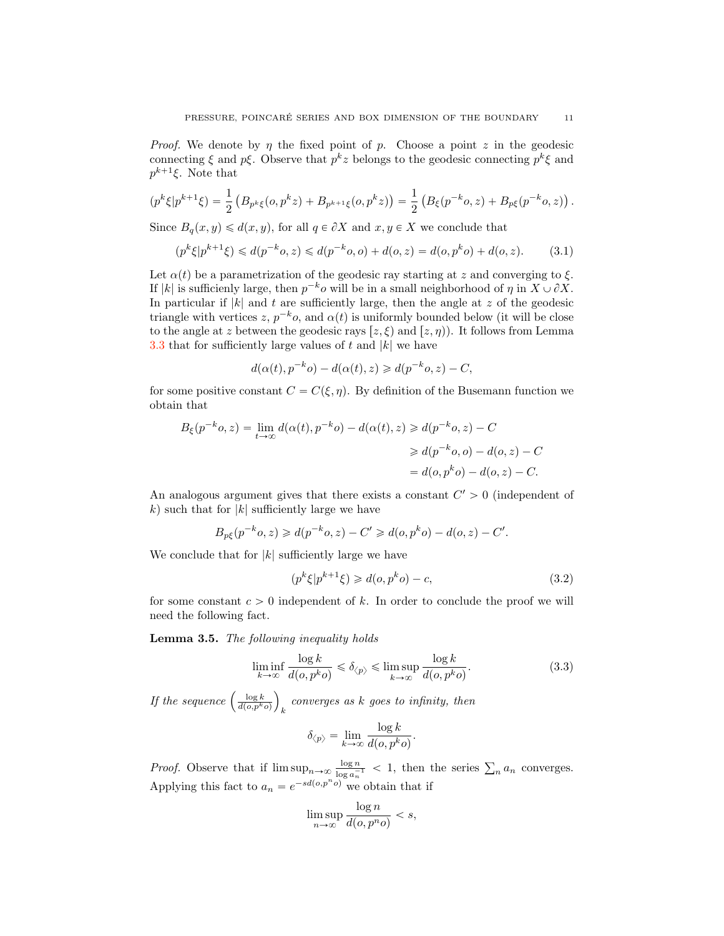*Proof.* We denote by  $\eta$  the fixed point of  $p$ . Choose a point  $z$  in the geodesic connecting  $\xi$  and  $p\xi$ . Observe that  $p^k z$  belongs to the geodesic connecting  $p^k \xi$  and  $p^{k+1}\xi$ . Note that

$$
(p^k \xi | p^{k+1} \xi) = \frac{1}{2} \left( B_{p^k \xi}(o, p^k z) + B_{p^{k+1} \xi}(o, p^k z) \right) = \frac{1}{2} \left( B_{\xi}(p^{-k} o, z) + B_{p \xi}(p^{-k} o, z) \right).
$$

Since  $B_q(x, y) \le d(x, y)$ , for all  $q \in \partial X$  and  $x, y \in X$  we conclude that

$$
(p^k \xi | p^{k+1} \xi) \le d(p^{-k} o, z) \le d(p^{-k} o, o) + d(o, z) = d(o, p^k o) + d(o, z).
$$
 (3.1)

Let  $\alpha(t)$  be a parametrization of the geodesic ray starting at z and converging to  $\xi$ . If |k| is sufficienly large, then  $p^{-k}$ o will be in a small neighborhood of  $\eta$  in  $X \cup \partial X$ . In particular if  $|k|$  and t are sufficiently large, then the angle at z of the geodesic triangle with vertices z,  $p^{-k}$ o, and  $\alpha(t)$  is uniformly bounded below (it will be close to the angle at z between the geodesic rays  $[z, \xi]$  and  $[z, \eta]$ ). It follows from Lemma [3.3](#page-9-0) that for sufficiently large values of t and  $|k|$  we have

<span id="page-10-0"></span>
$$
d(\alpha(t), p^{-k}o) - d(\alpha(t), z) \ge d(p^{-k}o, z) - C,
$$

for some positive constant  $C = C(\xi, \eta)$ . By definition of the Busemann function we obtain that

$$
B_{\xi}(p^{-k}o, z) = \lim_{t \to \infty} d(\alpha(t), p^{-k}o) - d(\alpha(t), z) \ge d(p^{-k}o, z) - C
$$
  

$$
\ge d(p^{-k}o, o) - d(o, z) - C
$$
  

$$
= d(o, p^{k}o) - d(o, z) - C.
$$

An analogous argument gives that there exists a constant  $C' > 0$  (independent of k) such that for  $|k|$  sufficiently large we have

$$
B_{p\xi}(p^{-k}o, z) \ge d(p^{-k}o, z) - C' \ge d(o, p^{k}o) - d(o, z) - C'.
$$

We conclude that for  $|k|$  sufficiently large we have

<span id="page-10-1"></span>
$$
(pk \xi | pk+1 \xi) \geq d(o, pk o) - c,
$$
\n(3.2)

for some constant  $c > 0$  independent of k. In order to conclude the proof we will need the following fact.

Lemma 3.5. The following inequality holds

$$
\liminf_{k \to \infty} \frac{\log k}{d(o, p^k o)} \leq \delta_{\langle p \rangle} \leq \limsup_{k \to \infty} \frac{\log k}{d(o, p^k o)}.
$$
\n(3.3)

If the sequence  $\left(\frac{\log k}{d(o, p^k o)}\right)$  $\overline{ }$  $k$  converges as  $k$  goes to infinity, then

<span id="page-10-2"></span>
$$
\delta_{\langle p \rangle} = \lim_{k \to \infty} \frac{\log k}{d(o, p^k o)}.
$$

*Proof.* Observe that if  $\limsup_{n\to\infty} \frac{\log n}{\log a_n^{-1}} < 1$ , then the series  $\sum_n a_n$  converges. Applying this fact to  $a_n = e^{-sd(o,p^n o)}$  we obtain that if

$$
\limsup_{n \to \infty} \frac{\log n}{d(o, p^n o)} < s,
$$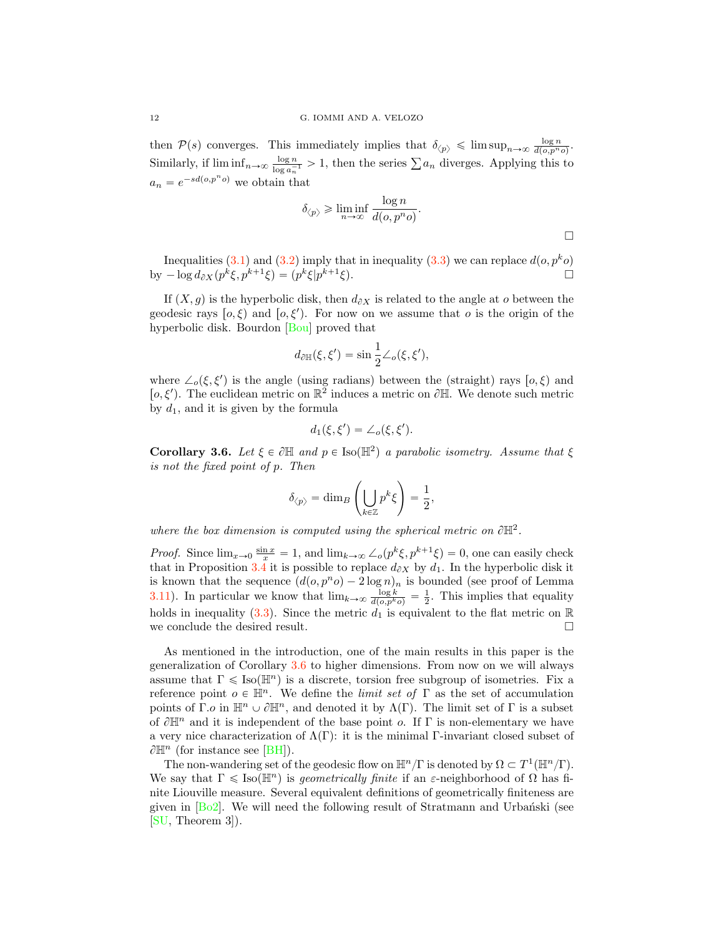<span id="page-11-1"></span>then  $P(s)$  converges. This immediately implies that  $\delta_{\langle p \rangle} \leq \limsup_{n \to \infty} \frac{\log n}{d(o, p^n o)}$ . Similarly, if  $\liminf_{n\to\infty} \frac{\log n}{\log a_n^{-1}} > 1$ , then the series  $\sum a_n$  diverges. Applying this to  $a_n = e^{-sd(o,p^n o)}$  we obtain that

$$
\delta_{\langle p \rangle} \geqslant \liminf_{n \to \infty} \frac{\log n}{d(o, p^n o)}.
$$

 $\Box$ 

Inequalities [\(3.1\)](#page-10-0) and [\(3.2\)](#page-10-1) imply that in inequality [\(3.3\)](#page-10-2) we can replace  $d(o, p^k o)$ <br>-  $log d_{\partial X}(p^k \xi, p^{k+1} \xi) = (p^k \xi | p^{k+1} \xi)$ . by  $-\log d_{\partial X}(p^k\xi, p^{k+1}\xi) = (p^k\xi|p^{k+1}\xi).$ 

If  $(X, g)$  is the hyperbolic disk, then  $d_{\partial X}$  is related to the angle at o between the geodesic rays  $[o, \xi]$  and  $[o, \xi']$ . For now on we assume that o is the origin of the hyperbolic disk. Bourdon [\[Bou\]](#page-15-19) proved that

$$
d_{\partial \mathbb{H}}(\xi, \xi') = \sin \frac{1}{2} \angle_o(\xi, \xi'),
$$

where  $\angle_o(\xi, \xi')$  is the angle (using radians) between the (straight) rays  $[o, \xi]$  and [ $o, \xi'$ ). The euclidean metric on  $\mathbb{R}^2$  induces a metric on  $\partial \mathbb{H}$ . We denote such metric by  $d_1$ , and it is given by the formula

$$
d_1(\xi, \xi') = \angle_o(\xi, \xi').
$$

<span id="page-11-0"></span>**Corollary 3.6.** Let  $\xi \in \partial \mathbb{H}$  and  $p \in \text{Iso}(\mathbb{H}^2)$  a parabolic isometry. Assume that  $\xi$ is not the fixed point of p. Then

$$
\delta_{\langle p \rangle} = \dim_B \left( \bigcup_{k \in \mathbb{Z}} p^k \xi \right) = \frac{1}{2},
$$

where the box dimension is computed using the spherical metric on  $\partial \mathbb{H}^2$ .

*Proof.* Since  $\lim_{x\to 0} \frac{\sin x}{x} = 1$ , and  $\lim_{k\to\infty} \angle_o(p^k \xi, p^{k+1} \xi) = 0$ , one can easily check that in Proposition [3.4](#page-9-1) it is possible to replace  $d_{\partial X}$  by  $d_1$ . In the hyperbolic disk it is known that the sequence  $(d(o, p<sup>n</sup>o) - 2 log n)<sub>n</sub>$  is bounded (see proof of Lemma [3.11\)](#page-13-0). In particular we know that  $\lim_{k\to\infty} \frac{\log k}{d(o,p^k o)} = \frac{1}{2}$ . This implies that equality holds in inequality [\(3.3\)](#page-10-2). Since the metric  $d_1$  is equivalent to the flat metric on R we conclude the desired result.  $\Box$ 

As mentioned in the introduction, one of the main results in this paper is the generalization of Corollary [3.6](#page-11-0) to higher dimensions. From now on we will always assume that  $\Gamma \leq \text{Iso}(\mathbb{H}^n)$  is a discrete, torsion free subgroup of isometries. Fix a reference point  $o \in \mathbb{H}^n$ . We define the *limit set of*  $\Gamma$  as the set of accumulation points of Γ.o in  $\mathbb{H}^n \cup \partial \mathbb{H}^n$ , and denoted it by  $\Lambda(\Gamma)$ . The limit set of Γ is a subset of  $\partial \mathbb{H}^n$  and it is independent of the base point o. If  $\Gamma$  is non-elementary we have a very nice characterization of  $\Lambda(\Gamma)$ : it is the minimal Γ-invariant closed subset of  $\partial \mathbb{H}^n$  (for instance see [\[BH\]](#page-15-20)).

The non-wandering set of the geodesic flow on  $\mathbb{H}^n/\Gamma$  is denoted by  $\Omega \subset T^1(\mathbb{H}^n/\Gamma)$ . We say that  $\Gamma \leq \text{Iso}(\mathbb{H}^n)$  is geometrically finite if an  $\varepsilon$ -neighborhood of  $\Omega$  has finite Liouville measure. Several equivalent definitions of geometrically finiteness are given in  $[B_02]$ . We will need the following result of Stratmann and Urbanski (see [\[SU,](#page-16-5) Theorem 3]).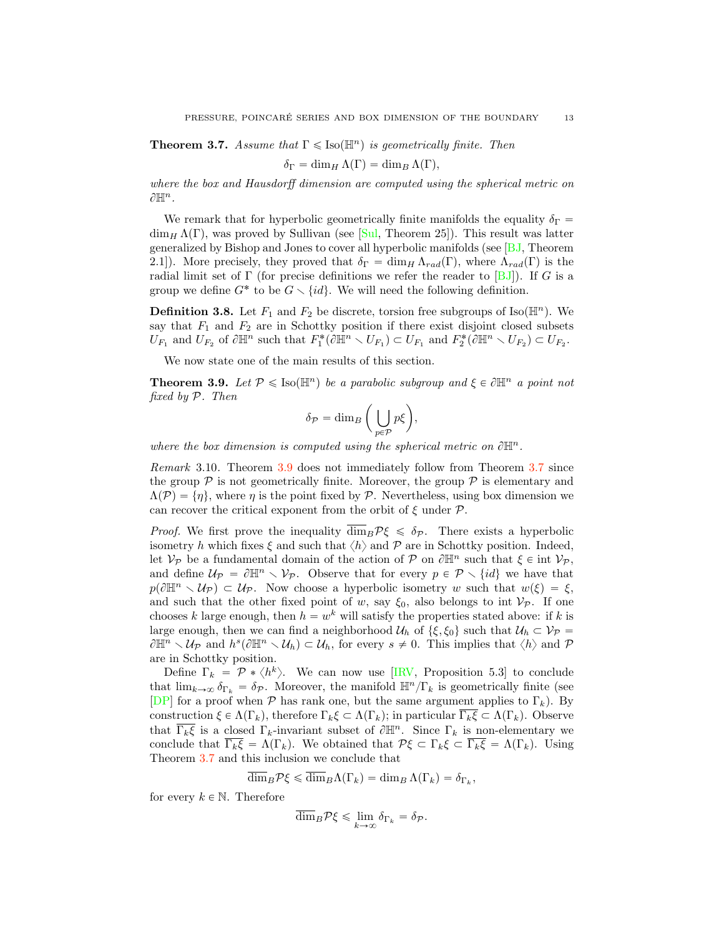<span id="page-12-2"></span><span id="page-12-0"></span>**Theorem 3.7.** Assume that  $\Gamma \leq \text{Iso}(\mathbb{H}^n)$  is geometrically finite. Then

$$
\delta_{\Gamma} = \dim_H \Lambda(\Gamma) = \dim_B \Lambda(\Gamma),
$$

where the box and Hausdorff dimension are computed using the spherical metric on  $\partial \mathbb{H}^n$ .

We remark that for hyperbolic geometrically finite manifolds the equality  $\delta_{\Gamma}$  =  $\dim_H \Lambda(\Gamma)$ , was proved by Sullivan (see [\[Sul,](#page-16-1) Theorem 25]). This result was latter generalized by Bishop and Jones to cover all hyperbolic manifolds (see [\[BJ,](#page-15-5) Theorem 2.1]). More precisely, they proved that  $\delta_{\Gamma} = \dim_H \Lambda_{rad}(\Gamma)$ , where  $\Lambda_{rad}(\Gamma)$  is the radial limit set of Γ (for precise definitions we refer the reader to  $[BJ]$ ). If G is a group we define  $G^*$  to be  $G \setminus \{id\}$ . We will need the following definition.

**Definition 3.8.** Let  $F_1$  and  $F_2$  be discrete, torsion free subgroups of Iso( $\mathbb{H}^n$ ). We say that  $F_1$  and  $F_2$  are in Schottky position if there exist disjoint closed subsets  $U_{F_1}$  and  $U_{F_2}$  of  $\partial \mathbb{H}^n$  such that  $F_1^*(\partial \mathbb{H}^n \setminus U_{F_1}) \subset U_{F_1}$  and  $F_2^*(\partial \mathbb{H}^n \setminus U_{F_2}) \subset U_{F_2}$ .

We now state one of the main results of this section.

<span id="page-12-1"></span>**Theorem 3.9.** Let  $P \leq \text{Iso}(\mathbb{H}^n)$  be a parabolic subgroup and  $\xi \in \partial \mathbb{H}^n$  a point not fixed by *P*. Then

$$
\delta_{\mathcal{P}} = \dim_{B}\bigg(\bigcup_{p\in\mathcal{P}}p\xi\bigg),
$$

where the box dimension is computed using the spherical metric on  $\partial \mathbb{H}^n$ .

Remark 3.10. Theorem [3.9](#page-12-1) does not immediately follow from Theorem [3.7](#page-12-0) since the group  $P$  is not geometrically finite. Moreover, the group  $P$  is elementary and  $\Lambda(\mathcal{P}) = \{\eta\}$ , where  $\eta$  is the point fixed by  $\mathcal{P}$ . Nevertheless, using box dimension we can recover the critical exponent from the orbit of  $\xi$  under  $\mathcal{P}$ .

*Proof.* We first prove the inequality  $\overline{\dim}_B P \xi \leq \delta_P$ . There exists a hyperbolic isometry h which fixes  $\xi$  and such that  $\langle h \rangle$  and  $P$  are in Schottky position. Indeed, let  $V_P$  be a fundamental domain of the action of  $P$  on  $\partial \mathbb{H}^n$  such that  $\xi \in \text{int } V_P$ , and define  $U_P = \partial \mathbb{H}^n \setminus V_P$ . Observe that for every  $p \in \mathcal{P} \setminus \{id\}$  we have that  $p(\partial \mathbb{H}^n \setminus \mathcal{U}_P) \subset \mathcal{U}_P$ . Now choose a hyperbolic isometry w such that  $w(\xi) = \xi$ , and such that the other fixed point of w, say  $\xi_0$ , also belongs to int  $V_P$ . If one chooses k large enough, then  $h = w^k$  will satisfy the properties stated above: if k is large enough, then we can find a neighborhood  $U_h$  of  $\{\xi, \xi_0\}$  such that  $U_h \subset V_{\mathcal{P}}$  $\partial \mathbb{H}^n \setminus \mathcal{U}_{\mathcal{P}}$  and  $h^s(\partial \mathbb{H}^n \setminus \mathcal{U}_h) \subset \mathcal{U}_h$ , for every  $s \neq 0$ . This implies that  $\langle h \rangle$  and  $\mathcal{P}$ are in Schottky position.

Define  $\Gamma_k = \mathcal{P} * \langle h^k \rangle$ . We can now use [\[IRV,](#page-15-7) Proposition 5.3] to conclude that  $\lim_{k\to\infty} \delta_{\Gamma_k} = \delta_{\mathcal{P}}$ . Moreover, the manifold  $\mathbb{H}^n/\Gamma_k$  is geometrically finite (see [\[DP\]](#page-15-9) for a proof when  $P$  has rank one, but the same argument applies to  $\Gamma_k$ ). By construction  $\xi \in \Lambda(\Gamma_k)$ , therefore  $\Gamma_k \xi \subset \Lambda(\Gamma_k)$ ; in particular  $\overline{\Gamma_k \xi} \subset \Lambda(\Gamma_k)$ . Observe that  $\overline{\Gamma_k \xi}$  is a closed  $\Gamma_k$ -invariant subset of  $\partial \mathbb{H}^n$ . Since  $\Gamma_k$  is non-elementary we conclude that  $\overline{\Gamma_k \xi} = \Lambda(\Gamma_k)$ . We obtained that  $\mathcal{P}\xi \subset \Gamma_k \xi \subset \overline{\Gamma_k \xi} = \Lambda(\Gamma_k)$ . Using Theorem [3.7](#page-12-0) and this inclusion we conclude that

 $\overline{\dim}_B \mathcal{P}\xi \leqslant \overline{\dim}_B \Lambda(\Gamma_k) = \dim_B \Lambda(\Gamma_k) = \delta_{\Gamma_k},$ 

for every  $k \in \mathbb{N}$ . Therefore

$$
\overline{\dim}_B \mathcal{P}\xi \leq \lim_{k \to \infty} \delta_{\Gamma_k} = \delta_{\mathcal{P}}.
$$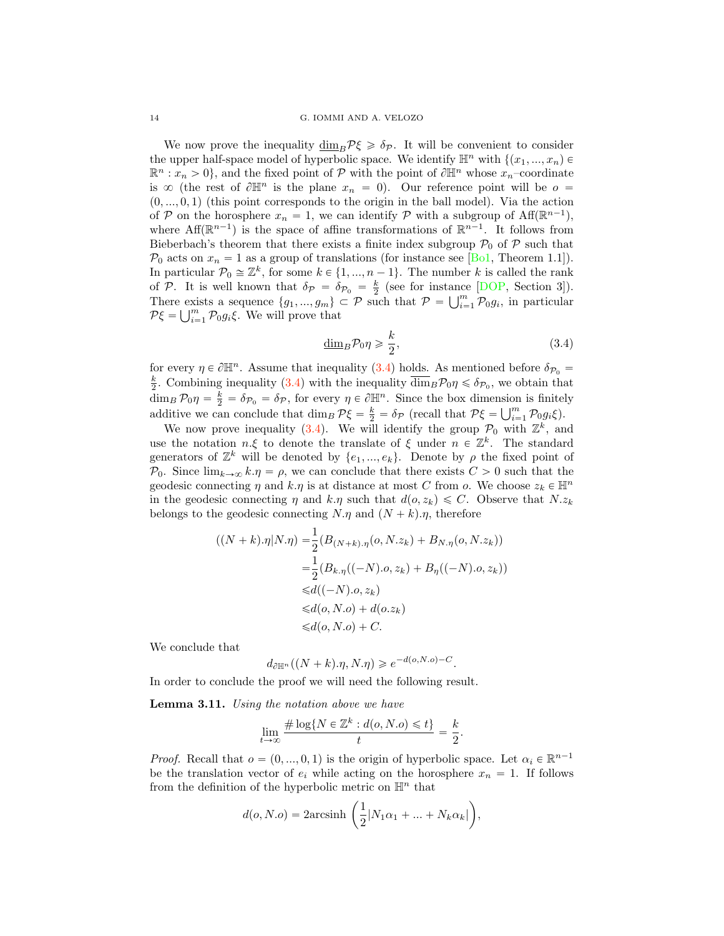<span id="page-13-2"></span>We now prove the inequality  $\dim_B P\xi \geq \delta_P$ . It will be convenient to consider the upper half-space model of hyperbolic space. We identify  $\mathbb{H}^n$  with  $\{(x_1, ..., x_n) \in$  $\mathbb{R}^n : x_n > 0$ , and the fixed point of  $\mathcal{P}$  with the point of  $\partial \mathbb{H}^n$  whose  $x_n$ –coordinate is  $\infty$  (the rest of  $\partial \mathbb{H}^n$  is the plane  $x_n = 0$ ). Our reference point will be  $o =$  $(0, ..., 0, 1)$  (this point corresponds to the origin in the ball model). Via the action of *P* on the horosphere  $x_n = 1$ , we can identify *P* with a subgroup of Aff( $\mathbb{R}^{n-1}$ ), where Aff( $\mathbb{R}^{n-1}$ ) is the space of affine transformations of  $\mathbb{R}^{n-1}$ . It follows from Bieberbach's theorem that there exists a finite index subgroup  $P_0$  of  $P$  such that  $P_0$  acts on  $x_n = 1$  as a group of translations (for instance see [\[Bo1,](#page-15-22) Theorem 1.1]). In particular  $\mathcal{P}_0 \cong \mathbb{Z}^k$ , for some  $k \in \{1, ..., n-1\}$ . The number k is called the rank of *P*. It is well known that  $\delta_p = \delta_{p_0} = \frac{k}{2}$  (see for instance [\[DOP,](#page-15-23) Section 3]). There exists a sequence  $\{g_1, ..., g_m\} \subset \mathcal{P}$  such that  $\mathcal{P} = \bigcup_{i=1}^m \mathcal{P}_0 g_i$ , in particular  $P\xi = \bigcup_{i=1}^m \mathcal{P}_0 g_i \xi$ . We will prove that

<span id="page-13-1"></span>
$$
\underline{\dim}_B \mathcal{P}_0 \eta \ge \frac{k}{2},\tag{3.4}
$$

for every  $\eta \in \partial \mathbb{H}^n$ . Assume that inequality [\(3.4\)](#page-13-1) holds. As mentioned before  $\delta_{\mathcal{P}_0} =$  $\frac{k}{2}$ . Combining inequality [\(3.4\)](#page-13-1) with the inequality  $\overline{\dim}_B \mathcal{P}_0 \eta \leq \delta_{\mathcal{P}_0}$ , we obtain that  $\dim_B \mathcal{P}_0 \eta = \frac{k}{2} = \delta_{\mathcal{P}_0} = \delta_{\mathcal{P}}$ , for every  $\eta \in \partial \mathbb{H}^n$ . Since the box dimension is finitely additive we can conclude that  $\dim_B \mathcal{P}\xi = \frac{k}{2} = \delta_{\mathcal{P}}$  (recall that  $\mathcal{P}\xi = \bigcup_{i=1}^m \mathcal{P}_0 g_i \xi$ ).

We now prove inequality [\(3.4\)](#page-13-1). We will identify the group  $\mathcal{P}_0$  with  $\mathbb{Z}^k$ , and use the notation  $n.\xi$  to denote the translate of  $\xi$  under  $n \in \mathbb{Z}^k$ . The standard generators of  $\mathbb{Z}^k$  will be denoted by  $\{e_1, ..., e_k\}$ . Denote by  $\rho$  the fixed point of *P*<sub>0</sub>. Since  $\lim_{k\to\infty} k.\eta = \rho$ , we can conclude that there exists  $C > 0$  such that the geodesic connecting  $\eta$  and  $k.\eta$  is at distance at most C from o. We choose  $z_k \in \mathbb{H}^n$ in the geodesic connecting  $\eta$  and  $k.\eta$  such that  $d(o, z_k) \leq C$ . Observe that N.z<sub>k</sub> belongs to the geodesic connecting  $N.\eta$  and  $(N + k).\eta$ , therefore

$$
((N+k).\eta|N.\eta) = \frac{1}{2}(B_{(N+k).\eta}(o, N.z_k) + B_{N.\eta}(o, N.z_k))
$$
  
= 
$$
\frac{1}{2}(B_{k.\eta}((-N).o, z_k) + B_{\eta}((-N).o, z_k))
$$
  

$$
\leq d((-N).o, z_k)
$$
  

$$
\leq d(o, N.o) + d(o.z_k)
$$
  

$$
\leq d(o, N.o) + C.
$$

We conclude that

$$
d_{\partial \mathbb{H}^n}((N+k)\eta, N.\eta) \geqslant e^{-d(o,N.o)-C}.
$$

In order to conclude the proof we will need the following result.

<span id="page-13-0"></span>Lemma 3.11. Using the notation above we have

$$
\lim_{t \to \infty} \frac{\# \log\{N \in \mathbb{Z}^k : d(o, N.o) \leq t\}}{t} = \frac{k}{2}.
$$

*Proof.* Recall that  $o = (0, ..., 0, 1)$  is the origin of hyperbolic space. Let  $\alpha_i \in \mathbb{R}^{n-1}$ be the translation vector of  $e_i$  while acting on the horosphere  $x_n = 1$ . If follows from the definition of the hyperbolic metric on  $\mathbb{H}^n$  that

$$
d(o, N.o) = 2\arcsinh\left(\frac{1}{2}|N_1\alpha_1 + \dots + N_k\alpha_k|\right),
$$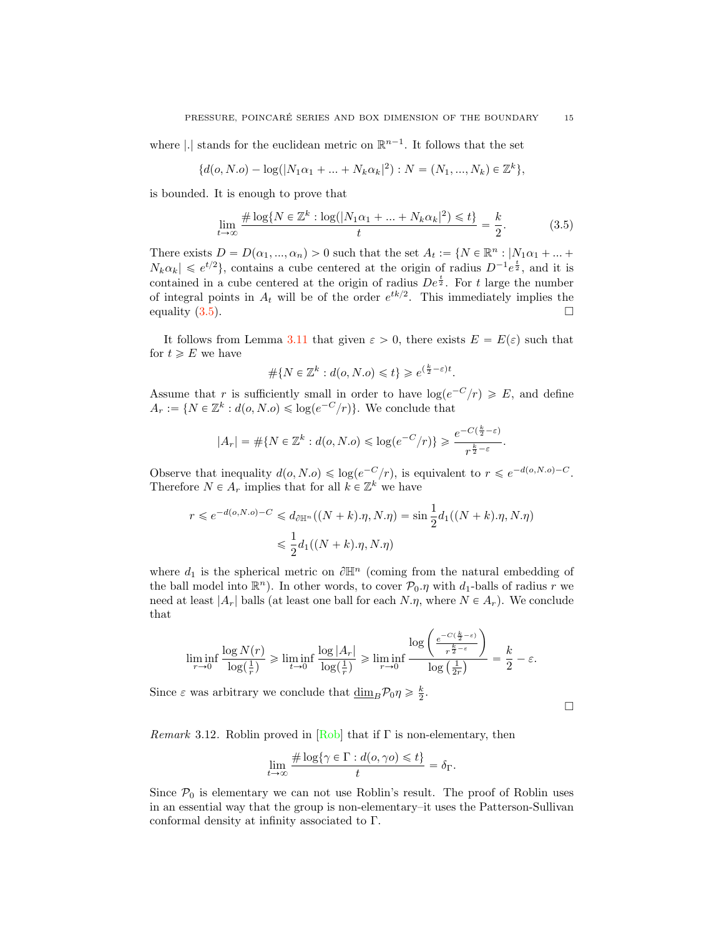<span id="page-14-1"></span>where |.| stands for the euclidean metric on  $\mathbb{R}^{n-1}$ . It follows that the set

$$
\{d(o, N.o) - \log(|N_1\alpha_1 + ... + N_k\alpha_k|^2) : N = (N_1, ..., N_k) \in \mathbb{Z}^k\},\
$$

is bounded. It is enough to prove that

$$
\lim_{t \to \infty} \frac{\# \log \{ N \in \mathbb{Z}^k : \log(|N_1 \alpha_1 + \dots + N_k \alpha_k|^2) \leq t \}}{t} = \frac{k}{2}.
$$
 (3.5)

There exists  $D = D(\alpha_1, ..., \alpha_n) > 0$  such that the set  $A_t := \{N \in \mathbb{R}^n : |N_1 \alpha_1 + ... +$  $N_k \alpha_k \leq e^{t/2}$ , contains a cube centered at the origin of radius  $D^{-1}e^{\frac{t}{2}}$ , and it is contained in a cube centered at the origin of radius  $De^{\frac{t}{2}}$ . For t large the number of integral points in  $A_t$  will be of the order  $e^{tk/2}$ . This immediately implies the equality  $(3.5)$ .

It follows from Lemma [3.11](#page-13-0) that given  $\varepsilon > 0$ , there exists  $E = E(\varepsilon)$  such that for  $t \geqslant E$  we have

$$
\#\{N \in \mathbb{Z}^k : d(o, N.o) \leq t\} \geq e^{\left(\frac{k}{2} - \varepsilon\right)t}.
$$

Assume that r is sufficiently small in order to have  $log(e^{-C}/r) \geq E$ , and define  $A_r := \{N \in \mathbb{Z}^k : d(o, N.o) \leqslant \log(e^{-C}/r)\}.$  We conclude that

$$
|A_r| = \#\{N \in \mathbb{Z}^k : d(o, N.o) \leq \log(e^{-C}/r)\} \geqslant \frac{e^{-C(\frac{k}{2}-\varepsilon)}}{r^{\frac{k}{2}-\varepsilon}}.
$$

Observe that inequality  $d(o, N.o) \leq \log(e^{-C}/r)$ , is equivalent to  $r \leq e^{-d(o, N.o)-C}$ . Therefore  $N \in A_r$  implies that for all  $k \in \mathbb{Z}^k$  we have

$$
r \leq e^{-d(o,N.o)-C} \leq d_{\partial \mathbb{H}^n}((N+k).\eta, N.\eta) = \sin \frac{1}{2}d_1((N+k).\eta, N.\eta)
$$

$$
\leq \frac{1}{2}d_1((N+k).\eta, N.\eta)
$$

where  $d_1$  is the spherical metric on  $\partial \mathbb{H}^n$  (coming from the natural embedding of the ball model into  $\mathbb{R}^n$ ). In other words, to cover  $\mathcal{P}_0.\eta$  with  $d_1$ -balls of radius r we need at least  $|A_r|$  balls (at least one ball for each  $N.\eta$ , where  $N \in A_r$ ). We conclude that

$$
\liminf_{r \to 0} \frac{\log N(r)}{\log(\frac{1}{r})} \ge \liminf_{t \to 0} \frac{\log |A_r|}{\log(\frac{1}{r})} \ge \liminf_{r \to 0} \frac{\log \left( \frac{e^{-C(\frac{k}{2} - \varepsilon)}}{r^{\frac{k}{2} - \varepsilon}} \right)}{\log(\frac{1}{2r})} = \frac{k}{2} - \varepsilon.
$$

Since  $\varepsilon$  was arbitrary we conclude that  $\underline{\dim}_B \mathcal{P}_0 \eta \geq \frac{k}{2}$ .

 $\Box$ 

Remark 3.12. Roblin proved in  $[Rob]$  that if  $\Gamma$  is non-elementary, then

$$
\lim_{t \to \infty} \frac{\# \log \{ \gamma \in \Gamma : d(o, \gamma o) \leq t \}}{t} = \delta_{\Gamma}.
$$

Since  $P_0$  is elementary we can not use Roblin's result. The proof of Roblin uses in an essential way that the group is non-elementary–it uses the Patterson-Sullivan conformal density at infinity associated to Γ.

<span id="page-14-0"></span>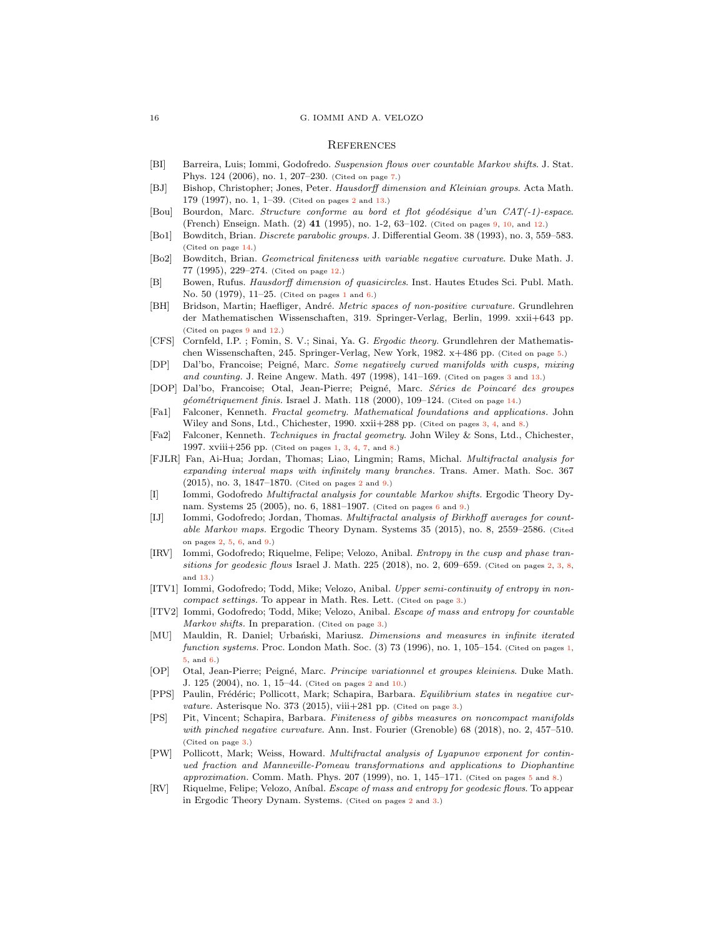#### **REFERENCES**

- <span id="page-15-18"></span>[BI] Barreira, Luis; Iommi, Godofredo. Suspension flows over countable Markov shifts. J. Stat. Phys. 124 (2006), no. 1, 207–230. (Cited on page [7.](#page-6-4))
- <span id="page-15-5"></span>[BJ] Bishop, Christopher; Jones, Peter. Hausdorff dimension and Kleinian groups. Acta Math. 179 (1997), no. 1, 1–39. (Cited on pages  $2$  and  $13$ .)
- <span id="page-15-19"></span>[Bou] Bourdon, Marc. Structure conforme au bord et flot géodésique d'un  $CAT(-1)$ -espace. (French) Enseign. Math. (2) 41 (1995), no. 1-2, 63–102. (Cited on pages [9,](#page-8-1) [10,](#page-9-2) and [12.](#page-11-1))
- <span id="page-15-22"></span>[Bo1] Bowditch, Brian. Discrete parabolic groups. J. Differential Geom. 38 (1993), no. 3, 559–583. (Cited on page [14.](#page-13-2))
- <span id="page-15-21"></span>[Bo2] Bowditch, Brian. Geometrical finiteness with variable negative curvature. Duke Math. J. 77 (1995), 229–274. (Cited on page [12.](#page-11-1))
- <span id="page-15-1"></span>[B] Bowen, Rufus. Hausdorff dimension of quasicircles. Inst. Hautes Etudes Sci. Publ. Math. No. 50 (1979), 11–25. (Cited on pages [1](#page-0-0) and [6.](#page-5-4))
- <span id="page-15-20"></span>[BH] Bridson, Martin; Haefliger, André. Metric spaces of non-positive curvature. Grundlehren der Mathematischen Wissenschaften, 319. Springer-Verlag, Berlin, 1999. xxii+643 pp. (Cited on pages [9](#page-8-1) and [12.](#page-11-1))
- <span id="page-15-16"></span>[CFS] Cornfeld, I.P. ; Fomin, S. V.; Sinai, Ya. G. Ergodic theory. Grundlehren der Mathematischen Wissenschaften, 245. Springer-Verlag, New York, 1982. x+486 pp. (Cited on page [5.](#page-4-2))
- <span id="page-15-9"></span>[DP] Dal'bo, Francoise; Peigné, Marc. Some negatively curved manifolds with cusps, mixing and counting. J. Reine Angew. Math. 497 (1998), 141–169. (Cited on pages [3](#page-2-1) and [13.](#page-12-2))
- <span id="page-15-23"></span>[DOP] Dal'bo, Francoise; Otal, Jean-Pierre; Peigné, Marc. Séries de Poincaré des groupes géométriquement finis. Israel J. Math. 118 (2000), 109-124. (Cited on page [14.](#page-13-2))
- <span id="page-15-14"></span>[Fa1] Falconer, Kenneth. Fractal geometry. Mathematical foundations and applications. John Wiley and Sons, Ltd., Chichester, 1990. xxii+288 pp. (Cited on pages [3,](#page-2-1) [4,](#page-3-0) and [8.](#page-7-1))
- <span id="page-15-0"></span>[Fa2] Falconer, Kenneth. Techniques in fractal geometry. John Wiley & Sons, Ltd., Chichester, 1997. xviii+256 pp. (Cited on pages [1,](#page-0-0) [3,](#page-2-1) [4,](#page-3-0) [7,](#page-6-4) and [8.](#page-7-1))
- <span id="page-15-3"></span>[FJLR] Fan, Ai-Hua; Jordan, Thomas; Liao, Lingmin; Rams, Michal. Multifractal analysis for expanding interval maps with infinitely many branches. Trans. Amer. Math. Soc. 367 (2015), no. 3, 1847–1870. (Cited on pages [2](#page-1-0) and [9.](#page-8-1))
- <span id="page-15-17"></span>[I] Iommi, Godofredo Multifractal analysis for countable Markov shifts. Ergodic Theory Dynam. Systems 25 (2005), no. 6, 1881–1907. (Cited on pages [6](#page-5-4) and [9.](#page-8-1))
- <span id="page-15-4"></span>[IJ] Iommi, Godofredo; Jordan, Thomas. *Multifractal analysis of Birkhoff averages for count*able Markov maps. Ergodic Theory Dynam. Systems 35 (2015), no. 8, 2559–2586. (Cited on pages [2,](#page-1-0) [5,](#page-4-2) [6,](#page-5-4) and [9.](#page-8-1))
- <span id="page-15-7"></span>[IRV] Iommi, Godofredo; Riquelme, Felipe; Velozo, Anibal. Entropy in the cusp and phase tran-sitions for geodesic flows Israel J. Math. 225 (2018), no. [2,](#page-1-0) 609-659. (Cited on pages 2, [3,](#page-2-1) [8,](#page-7-1) and [13.](#page-12-2))
- <span id="page-15-12"></span>[ITV1] Iommi, Godofredo; Todd, Mike; Velozo, Anibal. Upper semi-continuity of entropy in noncompact settings. To appear in Math. Res. Lett. (Cited on page [3.](#page-2-1))
- <span id="page-15-13"></span>[ITV2] Iommi, Godofredo; Todd, Mike; Velozo, Anibal. Escape of mass and entropy for countable Markov shifts. In preparation. (Cited on page [3.](#page-2-1))
- <span id="page-15-2"></span>[MU] Mauldin, R. Daniel; Urbański, Mariusz. Dimensions and measures in infinite iterated function systems. Proc. London Math. Soc. (3) 73 (1996), no. [1,](#page-0-0) 105-154. (Cited on pages 1, [5,](#page-4-2) and [6.](#page-5-4))
- <span id="page-15-6"></span>[OP] Otal, Jean-Pierre; Peigné, Marc. Principe variationnel et groupes kleiniens. Duke Math. J. 125 (2004), no. 1, 15–44. (Cited on pages [2](#page-1-0) and [10.](#page-9-2))
- <span id="page-15-10"></span>[PPS] Paulin, Frédéric; Pollicott, Mark; Schapira, Barbara. Equilibrium states in negative curvature. Asterisque No. 373 (2015), viii $+281$  pp. (Cited on page [3.](#page-2-1))
- <span id="page-15-11"></span>[PS] Pit, Vincent; Schapira, Barbara. Finiteness of gibbs measures on noncompact manifolds with pinched negative curvature. Ann. Inst. Fourier (Grenoble) 68 (2018), no. 2, 457–510. (Cited on page [3.](#page-2-1))
- <span id="page-15-15"></span>[PW] Pollicott, Mark; Weiss, Howard. Multifractal analysis of Lyapunov exponent for continued fraction and Manneville-Pomeau transformations and applications to Diophantine approximation. Comm. Math. Phys.  $207$  (1999), no. 1, 14[5](#page-4-2)–171. (Cited on pages 5 and [8.](#page-7-1))
- <span id="page-15-8"></span>[RV] Riquelme, Felipe; Velozo, Aníbal. *Escape of mass and entropy for geodesic flows*. To appear in Ergodic Theory Dynam. Systems. (Cited on pages [2](#page-1-0) and [3.](#page-2-1))